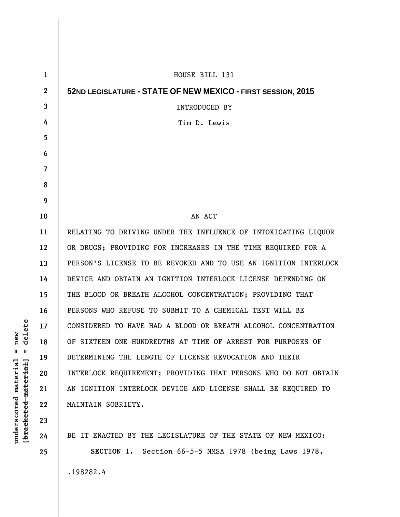| $\mathbf{1}$     | HOUSE BILL 131                                                  |
|------------------|-----------------------------------------------------------------|
| $\boldsymbol{2}$ | 52ND LEGISLATURE - STATE OF NEW MEXICO - FIRST SESSION, 2015    |
| 3                | <b>INTRODUCED BY</b>                                            |
| 4                | Tim D. Lewis                                                    |
| 5                |                                                                 |
| 6                |                                                                 |
| $\overline{7}$   |                                                                 |
| 8                |                                                                 |
| 9                |                                                                 |
| 10               | AN ACT                                                          |
| 11               | RELATING TO DRIVING UNDER THE INFLUENCE OF INTOXICATING LIQUOR  |
| 12               | OR DRUGS; PROVIDING FOR INCREASES IN THE TIME REQUIRED FOR A    |
| 13               | PERSON'S LICENSE TO BE REVOKED AND TO USE AN IGNITION INTERLOCK |
| 14               | DEVICE AND OBTAIN AN IGNITION INTERLOCK LICENSE DEPENDING ON    |
| 15               | THE BLOOD OR BREATH ALCOHOL CONCENTRATION; PROVIDING THAT       |
| 16               | PERSONS WHO REFUSE TO SUBMIT TO A CHEMICAL TEST WILL BE         |
| 17               | CONSIDERED TO HAVE HAD A BLOOD OR BREATH ALCOHOL CONCENTRATION  |
| 18               | OF SIXTEEN ONE HUNDREDTHS AT TIME OF ARREST FOR PURPOSES OF     |
| 19               | DETERMINING THE LENGTH OF LICENSE REVOCATION AND THEIR          |
| 20               | INTERLOCK REQUIREMENT; PROVIDING THAT PERSONS WHO DO NOT OBTAIN |
| 21               | AN IGNITION INTERLOCK DEVICE AND LICENSE SHALL BE REQUIRED TO   |
| 22               | MAINTAIN SOBRIETY.                                              |
| 23               |                                                                 |
| 24               | BE IT ENACTED BY THE LEGISLATURE OF THE STATE OF NEW MEXICO:    |

[bracketed material] = delete **[bracketed material] = delete**  $underscored material = new$ **underscored material = new**

**25** 

**SECTION 1.** Section 66-5-5 NMSA 1978 (being Laws 1978,

.198282.4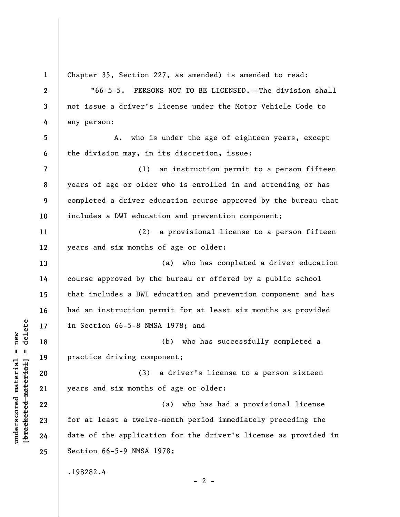**1 2 3 4 5 6 7 8 9 10 11 12 13 14 15 16 17 18 19 20 21 22 23 24 25**  Chapter 35, Section 227, as amended) is amended to read: "66-5-5. PERSONS NOT TO BE LICENSED.--The division shall not issue a driver's license under the Motor Vehicle Code to any person: A. who is under the age of eighteen years, except the division may, in its discretion, issue: (1) an instruction permit to a person fifteen years of age or older who is enrolled in and attending or has completed a driver education course approved by the bureau that includes a DWI education and prevention component; (2) a provisional license to a person fifteen years and six months of age or older: (a) who has completed a driver education course approved by the bureau or offered by a public school that includes a DWI education and prevention component and has had an instruction permit for at least six months as provided in Section 66-5-8 NMSA 1978; and (b) who has successfully completed a practice driving component; (3) a driver's license to a person sixteen years and six months of age or older: (a) who has had a provisional license for at least a twelve-month period immediately preceding the date of the application for the driver's license as provided in Section 66-5-9 NMSA 1978; .198282.4  $- 2 -$ 

**underscored material = new [bracketed material] = delete**

 $\frac{1}{2}$  intereted material = delete  $underscored material = new$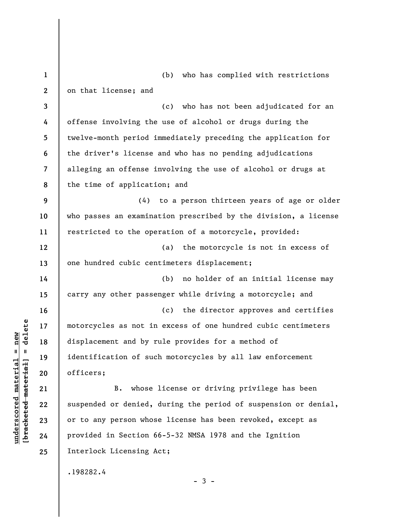| $\mathbf{1}$            | (b) who has complied with restrictions                          |
|-------------------------|-----------------------------------------------------------------|
| $\mathbf{2}$            | on that license; and                                            |
| 3                       | (c) who has not been adjudicated for an                         |
| 4                       | offense involving the use of alcohol or drugs during the        |
| 5                       | twelve-month period immediately preceding the application for   |
| 6                       | the driver's license and who has no pending adjudications       |
| $\overline{\mathbf{7}}$ | alleging an offense involving the use of alcohol or drugs at    |
| 8                       | the time of application; and                                    |
| 9                       | (4) to a person thirteen years of age or older                  |
| 10                      | who passes an examination prescribed by the division, a license |
| 11                      | restricted to the operation of a motorcycle, provided:          |
| 12                      | (a) the motorcycle is not in excess of                          |
| 13                      | one hundred cubic centimeters displacement;                     |
| 14                      | no holder of an initial license may<br>(b)                      |
| 15                      | carry any other passenger while driving a motorcycle; and       |
| 16                      | (c) the director approves and certifies                         |
| 17                      | motorcycles as not in excess of one hundred cubic centimeters   |
| 18                      | displacement and by rule provides for a method of               |
| 19                      | identification of such motorcycles by all law enforcement       |
| 20                      | officers;                                                       |
| 21                      | whose license or driving privilege has been<br>B.               |
| 22                      | suspended or denied, during the period of suspension or denial, |
| 23                      | or to any person whose license has been revoked, except as      |
| 24                      | provided in Section 66-5-32 NMSA 1978 and the Ignition          |
| 25                      | Interlock Licensing Act;                                        |
|                         | .198282.4                                                       |

 $[**bracket**et~~ed matched~~ + **met**et<sup>1</sup> + **del**et~~e~~$ **[bracketed material] = delete**  $underscored material = new$ **underscored material = new**

- 3 -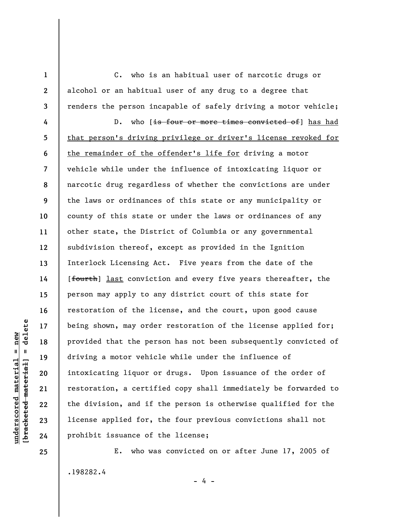C. who is an habitual user of narcotic drugs or alcohol or an habitual user of any drug to a degree that renders the person incapable of safely driving a motor vehicle;

**4 5 6 7 8 9 10 11 12 13 14 15 16 17 18 19 20 21 22 23 24**  D. who [is four or more times convicted of] has had that person's driving privilege or driver's license revoked for the remainder of the offender's life for driving a motor vehicle while under the influence of intoxicating liquor or narcotic drug regardless of whether the convictions are under the laws or ordinances of this state or any municipality or county of this state or under the laws or ordinances of any other state, the District of Columbia or any governmental subdivision thereof, except as provided in the Ignition Interlock Licensing Act. Five years from the date of the [fourth] last conviction and every five years thereafter, the person may apply to any district court of this state for restoration of the license, and the court, upon good cause being shown, may order restoration of the license applied for; provided that the person has not been subsequently convicted of driving a motor vehicle while under the influence of intoxicating liquor or drugs. Upon issuance of the order of restoration, a certified copy shall immediately be forwarded to the division, and if the person is otherwise qualified for the license applied for, the four previous convictions shall not prohibit issuance of the license;

E. who was convicted on or after June 17, 2005 of .198282.4 - 4 -

delete **[bracketed material] = delete**  $underscored material = new$ **underscored material = new**  $\mathbf{u}$ bracketed material

**25** 

**1** 

**2**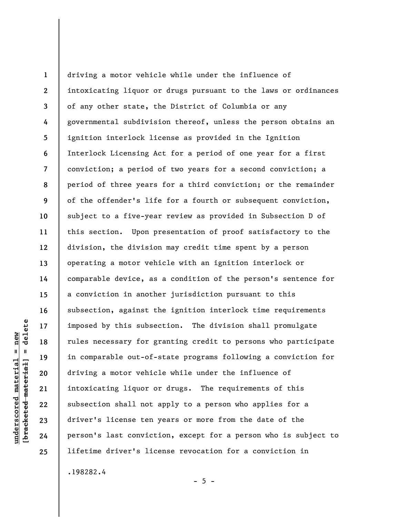**1 2 3 4 5 6 7 8 9 10 11 12 13 14 15 16 17 18 19 20 21 22 23 24 25**  driving a motor vehicle while under the influence of intoxicating liquor or drugs pursuant to the laws or ordinances of any other state, the District of Columbia or any governmental subdivision thereof, unless the person obtains an ignition interlock license as provided in the Ignition Interlock Licensing Act for a period of one year for a first conviction; a period of two years for a second conviction; a period of three years for a third conviction; or the remainder of the offender's life for a fourth or subsequent conviction, subject to a five-year review as provided in Subsection D of this section. Upon presentation of proof satisfactory to the division, the division may credit time spent by a person operating a motor vehicle with an ignition interlock or comparable device, as a condition of the person's sentence for a conviction in another jurisdiction pursuant to this subsection, against the ignition interlock time requirements imposed by this subsection. The division shall promulgate rules necessary for granting credit to persons who participate in comparable out-of-state programs following a conviction for driving a motor vehicle while under the influence of intoxicating liquor or drugs. The requirements of this subsection shall not apply to a person who applies for a driver's license ten years or more from the date of the person's last conviction, except for a person who is subject to lifetime driver's license revocation for a conviction in

.198282.4

 $- 5 -$ 

delete **[bracketed material] = delete**  $underscored material = new$ **underscored material = new**  $\mathbf{I}$ bracketed material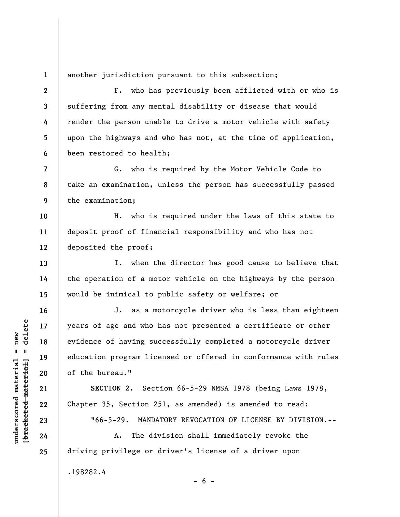**1**  another jurisdiction pursuant to this subsection;

**2 3 4 5 6**  F. who has previously been afflicted with or who is suffering from any mental disability or disease that would render the person unable to drive a motor vehicle with safety upon the highways and who has not, at the time of application, been restored to health;

**8 9**  G. who is required by the Motor Vehicle Code to take an examination, unless the person has successfully passed the examination;

**10 11 12**  H. who is required under the laws of this state to deposit proof of financial responsibility and who has not deposited the proof;

I. when the director has good cause to believe that the operation of a motor vehicle on the highways by the person would be inimical to public safety or welfare; or

J. as a motorcycle driver who is less than eighteen years of age and who has not presented a certificate or other evidence of having successfully completed a motorcycle driver education program licensed or offered in conformance with rules of the bureau."

**SECTION 2.** Section 66-5-29 NMSA 1978 (being Laws 1978, Chapter 35, Section 251, as amended) is amended to read:

"66-5-29. MANDATORY REVOCATION OF LICENSE BY DIVISION.--

 $- 6 -$ 

A. The division shall immediately revoke the driving privilege or driver's license of a driver upon

.198282.4

 $b$ racketed material] = delete **[bracketed material] = delete**  $underscored material = new$ **underscored material = new**

**7** 

**13** 

**14** 

**15** 

**16** 

**17** 

**18** 

**19** 

**20** 

**21** 

**22** 

**23** 

**24**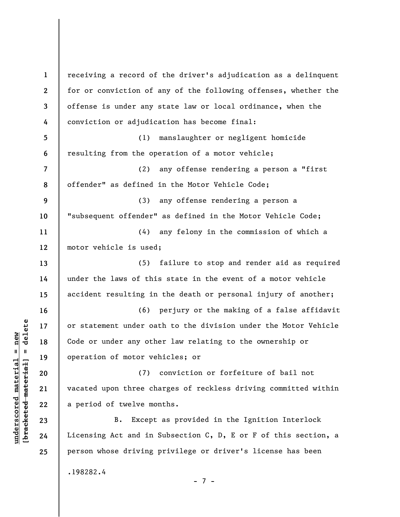**1 2 3 4 5 6 7 8 9 10 11 12 13 14 15 16 17 18 19 20 21 22 23 24 25**  receiving a record of the driver's adjudication as a delinquent for or conviction of any of the following offenses, whether the offense is under any state law or local ordinance, when the conviction or adjudication has become final: (1) manslaughter or negligent homicide resulting from the operation of a motor vehicle; (2) any offense rendering a person a "first offender" as defined in the Motor Vehicle Code; (3) any offense rendering a person a "subsequent offender" as defined in the Motor Vehicle Code; (4) any felony in the commission of which a motor vehicle is used; (5) failure to stop and render aid as required under the laws of this state in the event of a motor vehicle accident resulting in the death or personal injury of another; (6) perjury or the making of a false affidavit or statement under oath to the division under the Motor Vehicle Code or under any other law relating to the ownership or operation of motor vehicles; or (7) conviction or forfeiture of bail not vacated upon three charges of reckless driving committed within a period of twelve months. B. Except as provided in the Ignition Interlock Licensing Act and in Subsection C, D, E or F of this section, a person whose driving privilege or driver's license has been .198282.4 - 7 -

**underscored material = new [bracketed material] = delete**

 $\frac{1}{2}$  intereted material = delete  $underscored material = new$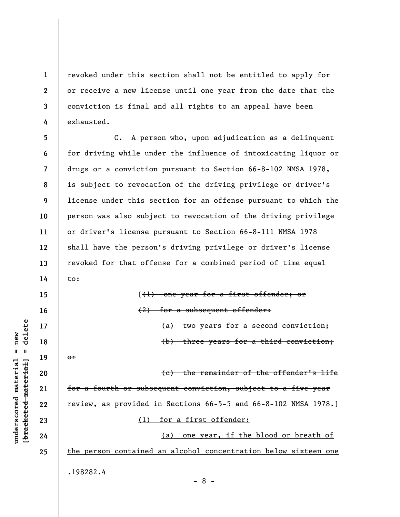**1 2 3 4**  revoked under this section shall not be entitled to apply for or receive a new license until one year from the date that the conviction is final and all rights to an appeal have been exhausted.

**5 6 7 8 9 10 11 12 13 14**  C. A person who, upon adjudication as a delinquent for driving while under the influence of intoxicating liquor or drugs or a conviction pursuant to Section 66-8-102 NMSA 1978, is subject to revocation of the driving privilege or driver's license under this section for an offense pursuant to which the person was also subject to revocation of the driving privilege or driver's license pursuant to Section 66-8-111 NMSA 1978 shall have the person's driving privilege or driver's license revoked for that offense for a combined period of time equal to:

> [(1) one year for a first offender; or (2) for a subsequent offender: (a) two years for a second conviction; (b) three years for a third conviction;

**20 21 22 23 24 25**  (c) the remainder of the offender's life for a fourth or subsequent conviction, subject to a five-year review, as provided in Sections 66-5-5 and 66-8-102 NMSA 1978.] (1) for a first offender: (a) one year, if the blood or breath of the person contained an alcohol concentration below sixteen one

- 8 -

.198282.4

 $\frac{1}{2}$  intereted material = delete **[bracketed material] = delete**  $anderscored material = new$ **underscored material = new**

**15** 

**16** 

**17** 

**18** 

**19** 

or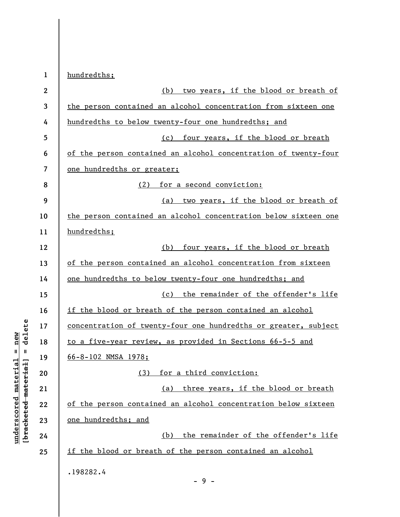| $\mathbf{1}$            | hundredths;                                                     |
|-------------------------|-----------------------------------------------------------------|
| $\boldsymbol{2}$        | two years, if the blood or breath of<br>(b)                     |
| 3                       | the person contained an alcohol concentration from sixteen one  |
| 4                       | hundredths to below twenty-four one hundredths; and             |
| 5                       | (c) four years, if the blood or breath                          |
| 6                       | of the person contained an alcohol concentration of twenty-four |
| $\overline{\mathbf{z}}$ | one hundredths or greater;                                      |
| 8                       | for a second conviction:<br>(2)                                 |
| 9                       | (a) two years, if the blood or breath of                        |
| 10                      | the person contained an alcohol concentration below sixteen one |
| 11                      | hundredths;                                                     |
| 12                      | four years, if the blood or breath<br>(b)                       |
| 13                      | of the person contained an alcohol concentration from sixteen   |
| 14                      | one hundredths to below twenty-four one hundredths; and         |
| 15                      | (c) the remainder of the offender's life                        |
| 16                      | if the blood or breath of the person contained an alcohol       |
| 17                      | concentration of twenty-four one hundredths or greater, subject |
| 18                      | to a five-year review, as provided in Sections 66-5-5 and       |
| 19                      | 66-8-102 NMSA 1978;                                             |
| 20                      | for a third conviction:<br>(3)                                  |
| 21                      | three years, if the blood or breath<br>(a)                      |
| 22                      | of the person contained an alcohol concentration below sixteen  |
| 23                      | one hundredths; and                                             |
| 24                      | the remainder of the offender's life<br>(b)                     |
| 25                      | if the blood or breath of the person contained an alcohol       |
|                         | .198282.4<br>$-9-$                                              |

**underscored material = new [bracketed material] = delete**

 $[bracketeed-materiat] = delete$  $underscored material = new$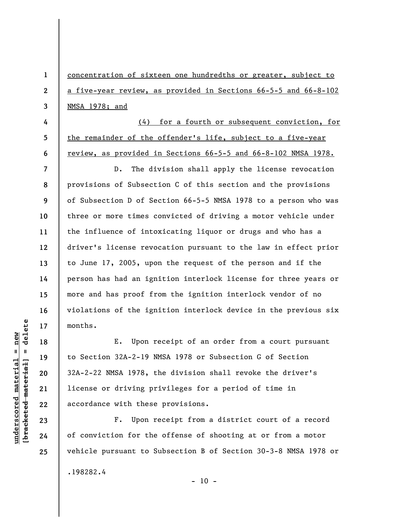concentration of sixteen one hundredths or greater, subject to a five-year review, as provided in Sections 66-5-5 and 66-8-102 NMSA 1978; and

(4) for a fourth or subsequent conviction, for the remainder of the offender's life, subject to a five-year review, as provided in Sections 66-5-5 and 66-8-102 NMSA 1978.

**7 8 9 10 11 12 13 14 15 16 17**  D. The division shall apply the license revocation provisions of Subsection C of this section and the provisions of Subsection D of Section 66-5-5 NMSA 1978 to a person who was three or more times convicted of driving a motor vehicle under the influence of intoxicating liquor or drugs and who has a driver's license revocation pursuant to the law in effect prior to June 17, 2005, upon the request of the person and if the person has had an ignition interlock license for three years or more and has proof from the ignition interlock vendor of no violations of the ignition interlock device in the previous six months.

E. Upon receipt of an order from a court pursuant to Section 32A-2-19 NMSA 1978 or Subsection G of Section 32A-2-22 NMSA 1978, the division shall revoke the driver's license or driving privileges for a period of time in accordance with these provisions.

F. Upon receipt from a district court of a record of conviction for the offense of shooting at or from a motor vehicle pursuant to Subsection B of Section 30-3-8 NMSA 1978 or .198282.4

 $\frac{1}{2}$  intereted material = delete **[bracketed material] = delete**  $underscored material = new$ **underscored material = new**

**18** 

**19** 

**20** 

**21** 

**22** 

**23** 

**24** 

**25** 

**1** 

**2** 

**3** 

**4** 

**5** 

**6** 

 $-10 -$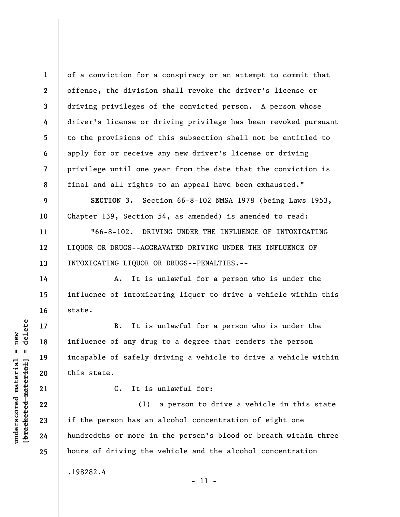of a conviction for a conspiracy or an attempt to commit that offense, the division shall revoke the driver's license or driving privileges of the convicted person. A person whose driver's license or driving privilege has been revoked pursuant to the provisions of this subsection shall not be entitled to apply for or receive any new driver's license or driving privilege until one year from the date that the conviction is final and all rights to an appeal have been exhausted."

**SECTION 3.** Section 66-8-102 NMSA 1978 (being Laws 1953, Chapter 139, Section 54, as amended) is amended to read:

"66-8-102. DRIVING UNDER THE INFLUENCE OF INTOXICATING LIQUOR OR DRUGS--AGGRAVATED DRIVING UNDER THE INFLUENCE OF INTOXICATING LIQUOR OR DRUGS--PENALTIES.--

A. It is unlawful for a person who is under the influence of intoxicating liquor to drive a vehicle within this state.

B. It is unlawful for a person who is under the influence of any drug to a degree that renders the person incapable of safely driving a vehicle to drive a vehicle within this state.

**[bracketed material] = delete 21** 

**1** 

**2** 

**3** 

**4** 

**5** 

**6** 

**7** 

**8** 

**9** 

**10** 

**11** 

**12** 

**13** 

**14** 

**15** 

**16** 

**17** 

**18** 

**19** 

**20** 

**22** 

**23** 

**24** 

**25** 

**underscored material = new**

 $underscored material = new$ 

delete

 $\mathbf{u}$ 

bracketed material

C. It is unlawful for:

(1) a person to drive a vehicle in this state if the person has an alcohol concentration of eight one hundredths or more in the person's blood or breath within three hours of driving the vehicle and the alcohol concentration

- 11 -

.198282.4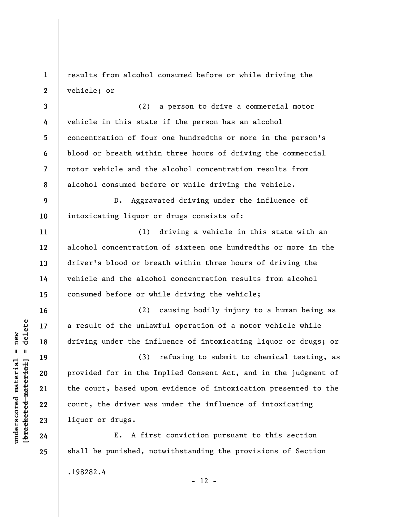**1 2**  results from alcohol consumed before or while driving the vehicle; or

**3 4 5 6 7 8**  (2) a person to drive a commercial motor vehicle in this state if the person has an alcohol concentration of four one hundredths or more in the person's blood or breath within three hours of driving the commercial motor vehicle and the alcohol concentration results from alcohol consumed before or while driving the vehicle.

**9 10**  D. Aggravated driving under the influence of intoxicating liquor or drugs consists of:

(1) driving a vehicle in this state with an alcohol concentration of sixteen one hundredths or more in the driver's blood or breath within three hours of driving the vehicle and the alcohol concentration results from alcohol consumed before or while driving the vehicle;

(2) causing bodily injury to a human being as a result of the unlawful operation of a motor vehicle while driving under the influence of intoxicating liquor or drugs; or

(3) refusing to submit to chemical testing, as provided for in the Implied Consent Act, and in the judgment of the court, based upon evidence of intoxication presented to the court, the driver was under the influence of intoxicating liquor or drugs.

E. A first conviction pursuant to this section shall be punished, notwithstanding the provisions of Section .198282.4

 $\frac{1}{2}$  of  $\frac{1}{2}$  and  $\frac{1}{2}$  and  $\frac{1}{2}$  and  $\frac{1}{2}$  and  $\frac{1}{2}$  and  $\frac{1}{2}$  and  $\frac{1}{2}$  and  $\frac{1}{2}$  and  $\frac{1}{2}$  and  $\frac{1}{2}$  and  $\frac{1}{2}$  and  $\frac{1}{2}$  and  $\frac{1}{2}$  and  $\frac{1}{2}$  and  $\frac{1}{2}$  an **[bracketed material] = delete**  $underscored material = new$ **underscored material = new**

**11** 

**12** 

**13** 

**14** 

**15** 

**16** 

**17** 

**18** 

**19** 

**20** 

**21** 

**22** 

**23** 

**24** 

**25** 

 $- 12 -$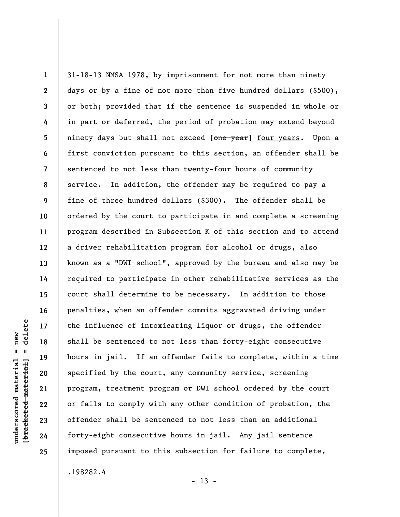**1 2 3 4 5 6 7 8 9 10 11 12 13 14 15 16 17 18 19 20 21 22 23 24 25**  31-18-13 NMSA 1978, by imprisonment for not more than ninety days or by a fine of not more than five hundred dollars (\$500), or both; provided that if the sentence is suspended in whole or in part or deferred, the period of probation may extend beyond ninety days but shall not exceed [one year] four years. Upon a first conviction pursuant to this section, an offender shall be sentenced to not less than twenty-four hours of community service. In addition, the offender may be required to pay a fine of three hundred dollars (\$300). The offender shall be ordered by the court to participate in and complete a screening program described in Subsection K of this section and to attend a driver rehabilitation program for alcohol or drugs, also known as a "DWI school", approved by the bureau and also may be required to participate in other rehabilitative services as the court shall determine to be necessary. In addition to those penalties, when an offender commits aggravated driving under the influence of intoxicating liquor or drugs, the offender shall be sentenced to not less than forty-eight consecutive hours in jail. If an offender fails to complete, within a time specified by the court, any community service, screening program, treatment program or DWI school ordered by the court or fails to comply with any other condition of probation, the offender shall be sentenced to not less than an additional forty-eight consecutive hours in jail. Any jail sentence imposed pursuant to this subsection for failure to complete,

.198282.4

 $- 13 -$ 

## delete **[bracketed material] = delete**  $underscored material = new$ **underscored material = new**  $\mathbf{I}$ bracketed material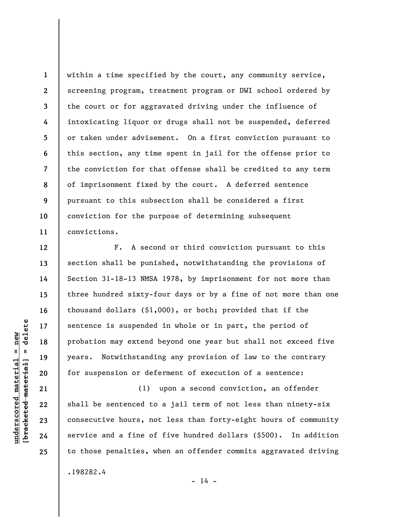**1 2 3 4 5 6 7 8 9 10 11**  within a time specified by the court, any community service, screening program, treatment program or DWI school ordered by the court or for aggravated driving under the influence of intoxicating liquor or drugs shall not be suspended, deferred or taken under advisement. On a first conviction pursuant to this section, any time spent in jail for the offense prior to the conviction for that offense shall be credited to any term of imprisonment fixed by the court. A deferred sentence pursuant to this subsection shall be considered a first conviction for the purpose of determining subsequent convictions.

F. A second or third conviction pursuant to this section shall be punished, notwithstanding the provisions of Section 31-18-13 NMSA 1978, by imprisonment for not more than three hundred sixty-four days or by a fine of not more than one thousand dollars (\$1,000), or both; provided that if the sentence is suspended in whole or in part, the period of probation may extend beyond one year but shall not exceed five years. Notwithstanding any provision of law to the contrary for suspension or deferment of execution of a sentence:

(1) upon a second conviction, an offender shall be sentenced to a jail term of not less than ninety-six consecutive hours, not less than forty-eight hours of community service and a fine of five hundred dollars (\$500). In addition to those penalties, when an offender commits aggravated driving .198282.4

 $\frac{1}{2}$  of  $\frac{1}{2}$  and  $\frac{1}{2}$  and  $\frac{1}{2}$  and  $\frac{1}{2}$  and  $\frac{1}{2}$  and  $\frac{1}{2}$  and  $\frac{1}{2}$  and  $\frac{1}{2}$  and  $\frac{1}{2}$  and  $\frac{1}{2}$  and  $\frac{1}{2}$  and  $\frac{1}{2}$  and  $\frac{1}{2}$  and  $\frac{1}{2}$  and  $\frac{1}{2}$  an **[bracketed material] = delete**  $underscored material = new$ **underscored material = new**

**12** 

**13** 

**14** 

**15** 

**16** 

**17** 

**18** 

**19** 

**20** 

**21** 

**22** 

**23** 

**24** 

**25** 

 $- 14 -$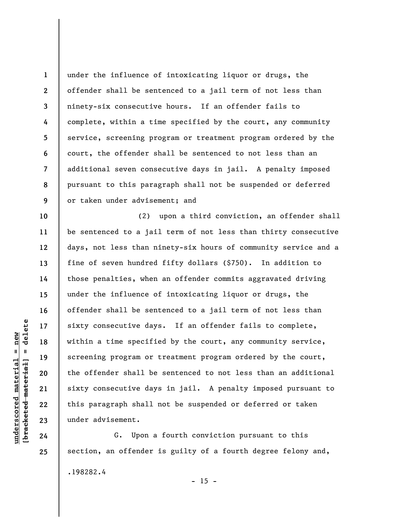**1 2 3 4 5 6 7 8 9**  under the influence of intoxicating liquor or drugs, the offender shall be sentenced to a jail term of not less than ninety-six consecutive hours. If an offender fails to complete, within a time specified by the court, any community service, screening program or treatment program ordered by the court, the offender shall be sentenced to not less than an additional seven consecutive days in jail. A penalty imposed pursuant to this paragraph shall not be suspended or deferred or taken under advisement; and

(2) upon a third conviction, an offender shall be sentenced to a jail term of not less than thirty consecutive days, not less than ninety-six hours of community service and a fine of seven hundred fifty dollars (\$750). In addition to those penalties, when an offender commits aggravated driving under the influence of intoxicating liquor or drugs, the offender shall be sentenced to a jail term of not less than sixty consecutive days. If an offender fails to complete, within a time specified by the court, any community service, screening program or treatment program ordered by the court, the offender shall be sentenced to not less than an additional sixty consecutive days in jail. A penalty imposed pursuant to this paragraph shall not be suspended or deferred or taken under advisement.

G. Upon a fourth conviction pursuant to this section, an offender is guilty of a fourth degree felony and, .198282.4  $- 15 -$ 

 $\frac{1}{2}$  of  $\frac{1}{2}$  and  $\frac{1}{2}$  and  $\frac{1}{2}$  and  $\frac{1}{2}$  and  $\frac{1}{2}$  and  $\frac{1}{2}$  and  $\frac{1}{2}$  and  $\frac{1}{2}$  and  $\frac{1}{2}$  and  $\frac{1}{2}$  and  $\frac{1}{2}$  and  $\frac{1}{2}$  and  $\frac{1}{2}$  and  $\frac{1}{2}$  and  $\frac{1}{2}$  an **[bracketed material] = delete**  $underscored material = new$ **underscored material = new**

**10** 

**11** 

**12** 

**13** 

**14** 

**15** 

**16** 

**17** 

**18** 

**19** 

**20** 

**21** 

**22** 

**23** 

**24**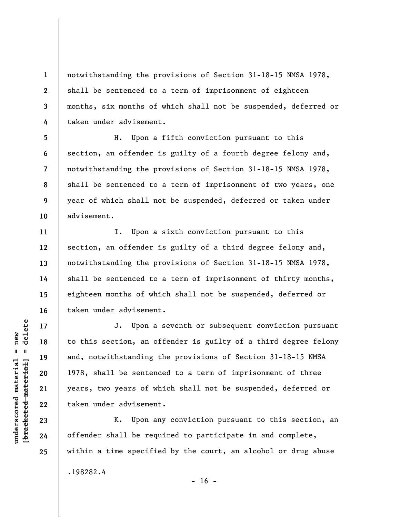notwithstanding the provisions of Section 31-18-15 NMSA 1978, shall be sentenced to a term of imprisonment of eighteen months, six months of which shall not be suspended, deferred or taken under advisement.

**8**  H. Upon a fifth conviction pursuant to this section, an offender is guilty of a fourth degree felony and, notwithstanding the provisions of Section 31-18-15 NMSA 1978, shall be sentenced to a term of imprisonment of two years, one year of which shall not be suspended, deferred or taken under advisement.

I. Upon a sixth conviction pursuant to this section, an offender is guilty of a third degree felony and, notwithstanding the provisions of Section 31-18-15 NMSA 1978, shall be sentenced to a term of imprisonment of thirty months, eighteen months of which shall not be suspended, deferred or taken under advisement.

J. Upon a seventh or subsequent conviction pursuant to this section, an offender is guilty of a third degree felony and, notwithstanding the provisions of Section 31-18-15 NMSA 1978, shall be sentenced to a term of imprisonment of three years, two years of which shall not be suspended, deferred or taken under advisement.

K. Upon any conviction pursuant to this section, an offender shall be required to participate in and complete, within a time specified by the court, an alcohol or drug abuse

.198282.4

 $\frac{1}{2}$  intereted material = delete **[bracketed material] = delete**  $underscored material = new$ **underscored material = new**

**1** 

**2** 

**3** 

**4** 

**5** 

**6** 

**7** 

**9** 

**10** 

**11** 

**12** 

**13** 

**14** 

**15** 

**16** 

**17** 

**18** 

**19** 

**20** 

**21** 

**22** 

**23** 

**24** 

 $- 16 -$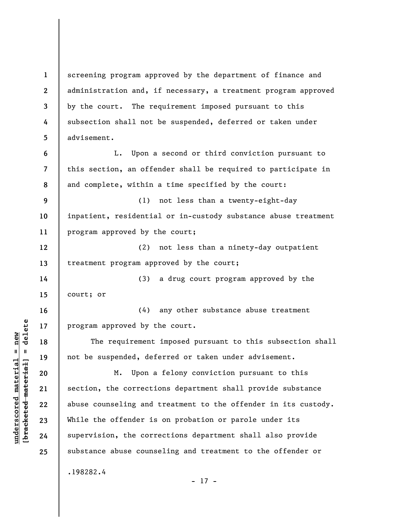**1 2 3 4 5 6 7 8 9 10 11 12 13 14 15 16 17 18 19 20 21 22 23 24 25**  screening program approved by the department of finance and administration and, if necessary, a treatment program approved by the court. The requirement imposed pursuant to this subsection shall not be suspended, deferred or taken under advisement. L. Upon a second or third conviction pursuant to this section, an offender shall be required to participate in and complete, within a time specified by the court: (1) not less than a twenty-eight-day inpatient, residential or in-custody substance abuse treatment program approved by the court; (2) not less than a ninety-day outpatient treatment program approved by the court; (3) a drug court program approved by the court; or (4) any other substance abuse treatment program approved by the court. The requirement imposed pursuant to this subsection shall not be suspended, deferred or taken under advisement. M. Upon a felony conviction pursuant to this section, the corrections department shall provide substance abuse counseling and treatment to the offender in its custody. While the offender is on probation or parole under its supervision, the corrections department shall also provide substance abuse counseling and treatment to the offender or .198282.4 - 17 -

**underscored material = new [bracketed material] = delete**

 $\frac{1}{2}$  intereted material = delete  $underscored material = new$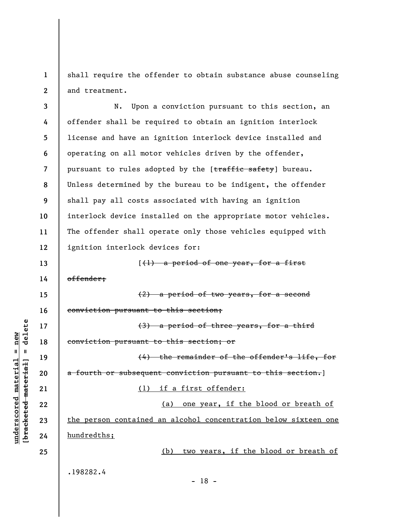**1 2**  shall require the offender to obtain substance abuse counseling and treatment.

**3 4 5 6 7 8 9 10 11 12**  N. Upon a conviction pursuant to this section, an offender shall be required to obtain an ignition interlock license and have an ignition interlock device installed and operating on all motor vehicles driven by the offender, pursuant to rules adopted by the [traffic safety] bureau. Unless determined by the bureau to be indigent, the offender shall pay all costs associated with having an ignition interlock device installed on the appropriate motor vehicles. The offender shall operate only those vehicles equipped with ignition interlock devices for:

 $(1)$  a period of one year, for a first

offender;

**13** 

**14** 

**15** 

**16** 

**17** 

**18** 

**19** 

**20** 

**21** 

**22** 

**23** 

**24** 

**25** 

**underscored material = new [bracketed material] = delete**

 $anderscored material = new$ 

delete

 $\mathbf{u}$ 

bracketed material

(2) a period of two years, for a second conviction pursuant to this section;

(3) a period of three years, for a third conviction pursuant to this section; or

(4) the remainder of the offender's life, for a fourth or subsequent conviction pursuant to this section.]

(1) if a first offender:

(a) one year, if the blood or breath of the person contained an alcohol concentration below sixteen one hundredths;

(b) two years, if the blood or breath of

.198282.4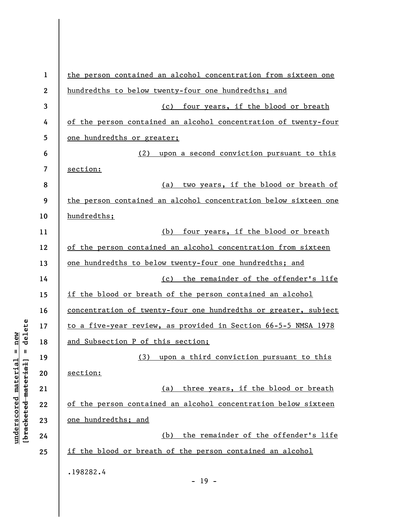| $\mathbf 1$      | the person contained an alcohol concentration from sixteen one  |
|------------------|-----------------------------------------------------------------|
| $\boldsymbol{2}$ | hundredths to below twenty-four one hundredths; and             |
| 3                | (c) four years, if the blood or breath                          |
| 4                | of the person contained an alcohol concentration of twenty-four |
| 5                | one hundredths or greater;                                      |
| 6                | (2) upon a second conviction pursuant to this                   |
| 7                | section:                                                        |
| 8                | (a) two years, if the blood or breath of                        |
| 9                | the person contained an alcohol concentration below sixteen one |
| 10               | hundredths;                                                     |
| 11               | (b) four years, if the blood or breath                          |
| 12               | of the person contained an alcohol concentration from sixteen   |
| 13               | one hundredths to below twenty-four one hundredths; and         |
| 14               | (c) the remainder of the offender's life                        |
| 15               | if the blood or breath of the person contained an alcohol       |
| 16               | concentration of twenty-four one hundredths or greater, subject |
| 17               | to a five-year review, as provided in Section 66-5-5 NMSA 1978  |
| 18               | and Subsection P of this section;                               |
| 19               | (3) upon a third conviction pursuant to this                    |
| 20               | section:                                                        |
| 21               | three years, if the blood or breath<br>(a)                      |
| 22               | of the person contained an alcohol concentration below sixteen  |
| 23               | one hundredths; and                                             |
| 24               | the remainder of the offender's life<br>(b)                     |
| 25               | if the blood or breath of the person contained an alcohol       |
|                  | .198282.4                                                       |
|                  | $-19 -$                                                         |

 $[bracketeed-materiat] = delete$ **[bracketed material] = delete**  $underscored material = new$ **underscored material = new**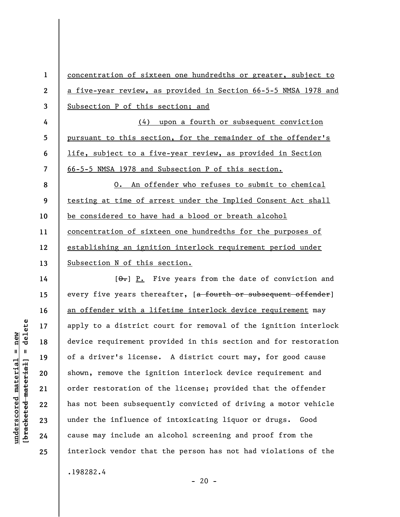**1 2 3 4 5 6 7 8 9 10 11 12 13**  concentration of sixteen one hundredths or greater, subject to a five-year review, as provided in Section 66-5-5 NMSA 1978 and Subsection P of this section; and (4) upon a fourth or subsequent conviction pursuant to this section, for the remainder of the offender's life, subject to a five-year review, as provided in Section 66-5-5 NMSA 1978 and Subsection P of this section. O. An offender who refuses to submit to chemical testing at time of arrest under the Implied Consent Act shall be considered to have had a blood or breath alcohol concentration of sixteen one hundredths for the purposes of establishing an ignition interlock requirement period under Subsection N of this section.

 $[\theta_{\bullet}]$  P. Five years from the date of conviction and every five years thereafter, [a fourth or subsequent offender] an offender with a lifetime interlock device requirement may apply to a district court for removal of the ignition interlock device requirement provided in this section and for restoration of a driver's license. A district court may, for good cause shown, remove the ignition interlock device requirement and order restoration of the license; provided that the offender has not been subsequently convicted of driving a motor vehicle under the influence of intoxicating liquor or drugs. Good cause may include an alcohol screening and proof from the interlock vendor that the person has not had violations of the

.198282.4

 $- 20 -$ 

## delete **[bracketed material] = delete**  $underscored material = new$ **underscored material = new**  $\frac{1}{2}$

**14** 

**15** 

**16** 

**17** 

**18** 

**19** 

**20** 

**21** 

**22** 

**23** 

**24**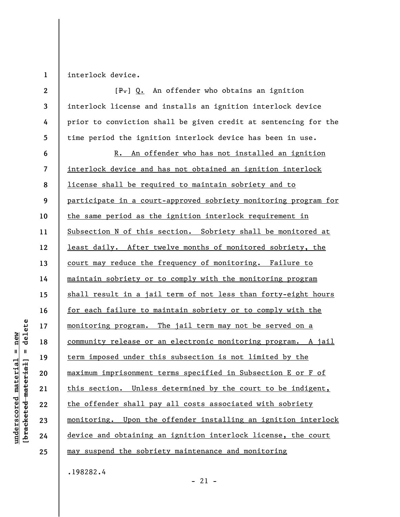**1**  interlock device.

| $\mathbf{2}$ | $[P$ $\cdot$ 0. An offender who obtains an ignition             |
|--------------|-----------------------------------------------------------------|
| 3            | interlock license and installs an ignition interlock device     |
| 4            | prior to conviction shall be given credit at sentencing for the |
| 5            | time period the ignition interlock device has been in use.      |
| 6            | R. An offender who has not installed an ignition                |
| 7            | interlock device and has not obtained an ignition interlock     |
| 8            | license shall be required to maintain sobriety and to           |
| 9            | participate in a court-approved sobriety monitoring program for |
| 10           | the same period as the ignition interlock requirement in        |
| 11           | Subsection N of this section. Sobriety shall be monitored at    |
| 12           | least daily. After twelve months of monitored sobriety, the     |
| 13           | court may reduce the frequency of monitoring. Failure to        |
| 14           | maintain sobriety or to comply with the monitoring program      |
| 15           | shall result in a jail term of not less than forty-eight hours  |
| 16           | for each failure to maintain sobriety or to comply with the     |
| 17           | monitoring program. The jail term may not be served on a        |
| 18           | community release or an electronic monitoring program. A jail   |
| 19           | term imposed under this subsection is not limited by the        |
| 20           | maximum imprisonment terms specified in Subsection E or F of    |
| 21           | this section. Unless determined by the court to be indigent,    |
| 22           | the offender shall pay all costs associated with sobriety       |
| 23           | monitoring. Upon the offender installing an ignition interlock  |
| 24           | device and obtaining an ignition interlock license, the court   |
| 25           | may suspend the sobriety maintenance and monitoring             |
|              | .198282.4                                                       |

- 21 -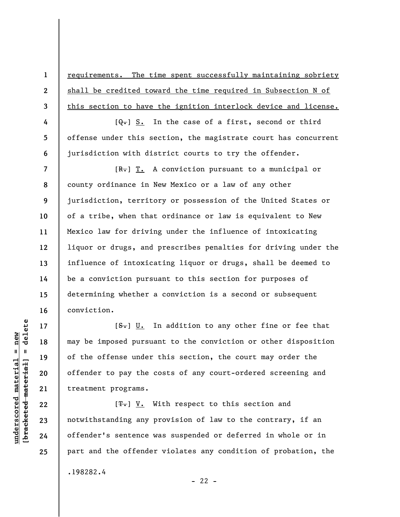requirements. The time spent successfully maintaining sobriety shall be credited toward the time required in Subsection N of this section to have the ignition interlock device and license.

 $[Q_{\bullet}]$  S. In the case of a first, second or third offense under this section, the magistrate court has concurrent jurisdiction with district courts to try the offender.

 $[R_r]$   $T_t$ . A conviction pursuant to a municipal or county ordinance in New Mexico or a law of any other jurisdiction, territory or possession of the United States or of a tribe, when that ordinance or law is equivalent to New Mexico law for driving under the influence of intoxicating liquor or drugs, and prescribes penalties for driving under the influence of intoxicating liquor or drugs, shall be deemed to be a conviction pursuant to this section for purposes of determining whether a conviction is a second or subsequent conviction.

 $[**S**$ . In addition to any other fine or fee that may be imposed pursuant to the conviction or other disposition of the offense under this section, the court may order the offender to pay the costs of any court-ordered screening and treatment programs.

 $[T<sub>1</sub>]$  V. With respect to this section and notwithstanding any provision of law to the contrary, if an offender's sentence was suspended or deferred in whole or in part and the offender violates any condition of probation, the .198282.4  $- 22 -$ 

delete **[bracketed material] = delete**  $underscored material = new$ **underscored material = new**  $\mathbf{u}$ bracketed material **1** 

**2** 

**3** 

**4** 

**5** 

**6** 

**7** 

**8** 

**9** 

**10** 

**11** 

**12** 

**13** 

**14** 

**15** 

**16** 

**17** 

**18** 

**19** 

**20** 

**21** 

**22** 

**23** 

**24**